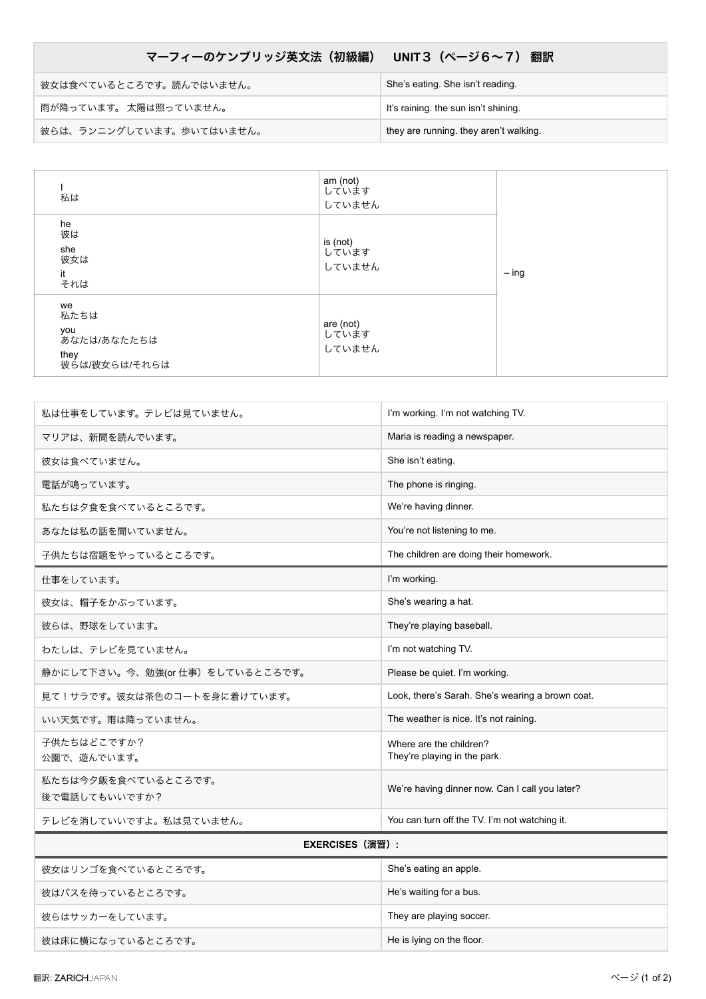## マーフィーのケンブリッジ英文法 (初級編) UNIT3 (ページ6~7) 翻訳

| 彼女は食べているところです。読んではいません。  | She's eating. She isn't reading.       |
|--------------------------|----------------------------------------|
| 雨が降っています。 太陽は照っていません。    | It's raining, the sun isn't shining.   |
| 彼らは、ランニングしています。歩いてはいません。 | they are running. they aren't walking. |

| 私は<br>he<br>彼は<br>she                                     | am (not)<br>しています<br>していません<br>is (not) |         |
|-----------------------------------------------------------|-----------------------------------------|---------|
| 彼女は<br>it<br>それは                                          | しています<br>していません                         | $-$ ing |
| we<br>私たちは<br>you<br>あなたは/あなたたちは<br>they<br>彼らは/彼女らは/それらは | are (not)<br>しています<br>していません            |         |

| 私は仕事をしています。テレビは見ていません。               | I'm working. I'm not watching TV.                       |  |
|--------------------------------------|---------------------------------------------------------|--|
| マリアは、新聞を読んでいます。                      | Maria is reading a newspaper.                           |  |
| 彼女は食べていません。                          | She isn't eating.                                       |  |
| 電話が鳴っています。                           | The phone is ringing.                                   |  |
| 私たちは夕食を食べているところです。                   | We're having dinner.                                    |  |
| あなたは私の話を聞いていません。                     | You're not listening to me.                             |  |
| 子供たちは宿題をやっているところです。                  | The children are doing their homework.                  |  |
| 仕事をしています。                            | I'm working.                                            |  |
| 彼女は、帽子をかぶっています。                      | She's wearing a hat.                                    |  |
| 彼らは、野球をしています。                        | They're playing baseball.                               |  |
| わたしは、テレビを見ていません。                     | I'm not watching TV.                                    |  |
| 静かにして下さい。今、勉強(or仕事)をしているところです。       | Please be quiet. I'm working.                           |  |
| 見て!サラです。彼女は茶色のコートを身に着けています。          | Look, there's Sarah. She's wearing a brown coat.        |  |
| いい天気です。雨は降っていません。                    | The weather is nice. It's not raining.                  |  |
| 子供たちはどこですか?<br>公園で、遊んでいます。           | Where are the children?<br>They're playing in the park. |  |
| 私たちは今夕飯を食べているところです。<br>後で電話してもいいですか? | We're having dinner now. Can I call you later?          |  |
| テレビを消していいですよ。私は見ていません。               | You can turn off the TV. I'm not watching it.           |  |
| <b>EXERCISES (演習):</b>               |                                                         |  |
| 彼女はリンゴを食べているところです。                   | She's eating an apple.                                  |  |
| 彼はバスを待っているところです。                     | He's waiting for a bus.                                 |  |
| 彼らはサッカーをしています。                       | They are playing soccer.                                |  |

彼は床に横になっているところです。 せいしょう インター・コンピュー He is lying on the floor.